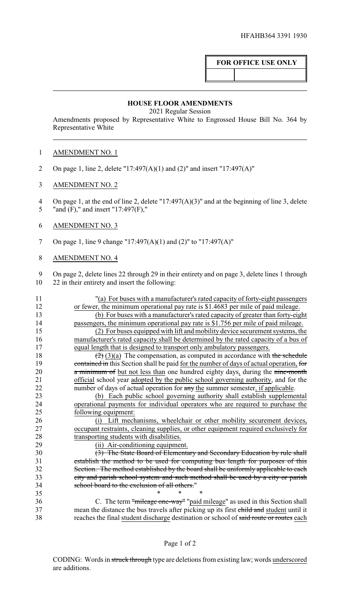## **FOR OFFICE USE ONLY**

## **HOUSE FLOOR AMENDMENTS**

2021 Regular Session

Amendments proposed by Representative White to Engrossed House Bill No. 364 by Representative White

## AMENDMENT NO. 1

- On page 1, line 2, delete "17:497(A)(1) and (2)" and insert "17:497(A)"
- AMENDMENT NO. 2

 On page 1, at the end of line 2, delete "17:497(A)(3)" and at the beginning of line 3, delete 5 "and (F)," and insert "17:497(F),"

- AMENDMENT NO. 3
- On page 1, line 9 change "17:497(A)(1) and (2)" to "17:497(A)"
- AMENDMENT NO. 4

 On page 2, delete lines 22 through 29 in their entirety and on page 3, delete lines 1 through 22 in their entirety and insert the following:

| 11 | "(a) For buses with a manufacturer's rated capacity of forty-eight passengers                  |
|----|------------------------------------------------------------------------------------------------|
| 12 | or fewer, the minimum operational pay rate is \$1.4683 per mile of paid mileage.               |
| 13 | (b) For buses with a manufacturer's rated capacity of greater than forty-eight                 |
| 14 | passengers, the minimum operational pay rate is \$1.756 per mile of paid mileage.              |
| 15 | (2) For buses equipped with lift and mobility device securement systems, the                   |
| 16 | manufacturer's rated capacity shall be determined by the rated capacity of a bus of            |
| 17 | equal length that is designed to transport only ambulatory passengers.                         |
| 18 | $\left(\frac{2}{2}\right)(3)(a)$ The compensation, as computed in accordance with the schedule |
| 19 | contained in this Section shall be paid for the number of days of actual operation, for        |
| 20 | a minimum of but not less than one hundred eighty days, during the nine-month                  |
| 21 | official school year adopted by the public school governing authority, and for the             |
| 22 | number of days of actual operation for any the summer semester, if applicable.                 |
| 23 | (b) Each public school governing authority shall establish supplemental                        |
| 24 | operational payments for individual operators who are required to purchase the                 |
| 25 | following equipment:                                                                           |
| 26 | (i) Lift mechanisms, wheelchair or other mobility securement devices,                          |
| 27 | occupant restraints, cleaning supplies, or other equipment required exclusively for            |
| 28 | transporting students with disabilities.                                                       |
| 29 | (ii) Air-conditioning equipment.                                                               |
| 30 | (3) The State Board of Elementary and Secondary Education by rule shall                        |
| 31 | establish the method to be used for computing bus length for purposes of this                  |
| 32 | Section. The method established by the board shall be uniformly applicable to each             |
| 33 | city and parish school system and such method shall be used by a city or parish                |
| 34 | school board to the exclusion of all others."                                                  |
| 35 | $\ast$<br>*                                                                                    |
| 36 | C. The term "mileage one-way" "paid mileage" as used in this Section shall                     |
| 37 | mean the distance the bus travels after picking up its first child and student until it        |
| 38 | reaches the final student discharge destination or school of said route or routes each         |
|    |                                                                                                |